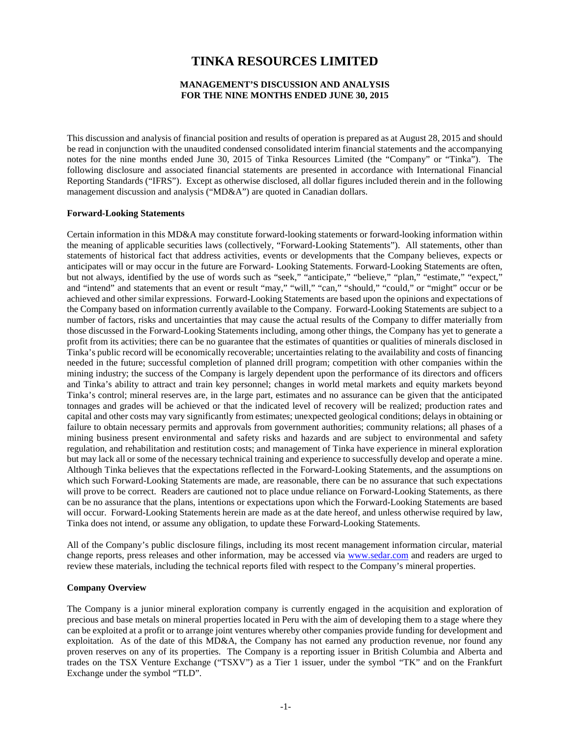# **TINKA RESOURCES LIMITED**

# **MANAGEMENT'S DISCUSSION AND ANALYSIS FOR THE NINE MONTHS ENDED JUNE 30, 2015**

This discussion and analysis of financial position and results of operation is prepared as at August 28, 2015 and should be read in conjunction with the unaudited condensed consolidated interim financial statements and the accompanying notes for the nine months ended June 30, 2015 of Tinka Resources Limited (the "Company" or "Tinka"). The following disclosure and associated financial statements are presented in accordance with International Financial Reporting Standards ("IFRS"). Except as otherwise disclosed, all dollar figures included therein and in the following management discussion and analysis ("MD&A") are quoted in Canadian dollars.

### **Forward-Looking Statements**

Certain information in this MD&A may constitute forward-looking statements or forward-looking information within the meaning of applicable securities laws (collectively, "Forward-Looking Statements"). All statements, other than statements of historical fact that address activities, events or developments that the Company believes, expects or anticipates will or may occur in the future are Forward- Looking Statements. Forward-Looking Statements are often, but not always, identified by the use of words such as "seek," "anticipate," "believe," "plan," "estimate," "expect," and "intend" and statements that an event or result "may," "will," "can," "should," "could," or "might" occur or be achieved and other similar expressions. Forward-Looking Statements are based upon the opinions and expectations of the Company based on information currently available to the Company. Forward-Looking Statements are subject to a number of factors, risks and uncertainties that may cause the actual results of the Company to differ materially from those discussed in the Forward-Looking Statements including, among other things, the Company has yet to generate a profit from its activities; there can be no guarantee that the estimates of quantities or qualities of minerals disclosed in Tinka's public record will be economically recoverable; uncertainties relating to the availability and costs of financing needed in the future; successful completion of planned drill program; competition with other companies within the mining industry; the success of the Company is largely dependent upon the performance of its directors and officers and Tinka's ability to attract and train key personnel; changes in world metal markets and equity markets beyond Tinka's control; mineral reserves are, in the large part, estimates and no assurance can be given that the anticipated tonnages and grades will be achieved or that the indicated level of recovery will be realized; production rates and capital and other costs may vary significantly from estimates; unexpected geological conditions; delays in obtaining or failure to obtain necessary permits and approvals from government authorities; community relations; all phases of a mining business present environmental and safety risks and hazards and are subject to environmental and safety regulation, and rehabilitation and restitution costs; and management of Tinka have experience in mineral exploration but may lack all or some of the necessary technical training and experience to successfully develop and operate a mine. Although Tinka believes that the expectations reflected in the Forward-Looking Statements, and the assumptions on which such Forward-Looking Statements are made, are reasonable, there can be no assurance that such expectations will prove to be correct. Readers are cautioned not to place undue reliance on Forward-Looking Statements, as there can be no assurance that the plans, intentions or expectations upon which the Forward-Looking Statements are based will occur. Forward-Looking Statements herein are made as at the date hereof, and unless otherwise required by law, Tinka does not intend, or assume any obligation, to update these Forward-Looking Statements.

All of the Company's public disclosure filings, including its most recent management information circular, material change reports, press releases and other information, may be accessed via [www.sedar.com](http://www.sedar.com/) and readers are urged to review these materials, including the technical reports filed with respect to the Company's mineral properties.

#### **Company Overview**

The Company is a junior mineral exploration company is currently engaged in the acquisition and exploration of precious and base metals on mineral properties located in Peru with the aim of developing them to a stage where they can be exploited at a profit or to arrange joint ventures whereby other companies provide funding for development and exploitation. As of the date of this MD&A, the Company has not earned any production revenue, nor found any proven reserves on any of its properties. The Company is a reporting issuer in British Columbia and Alberta and trades on the TSX Venture Exchange ("TSXV") as a Tier 1 issuer, under the symbol "TK" and on the Frankfurt Exchange under the symbol "TLD".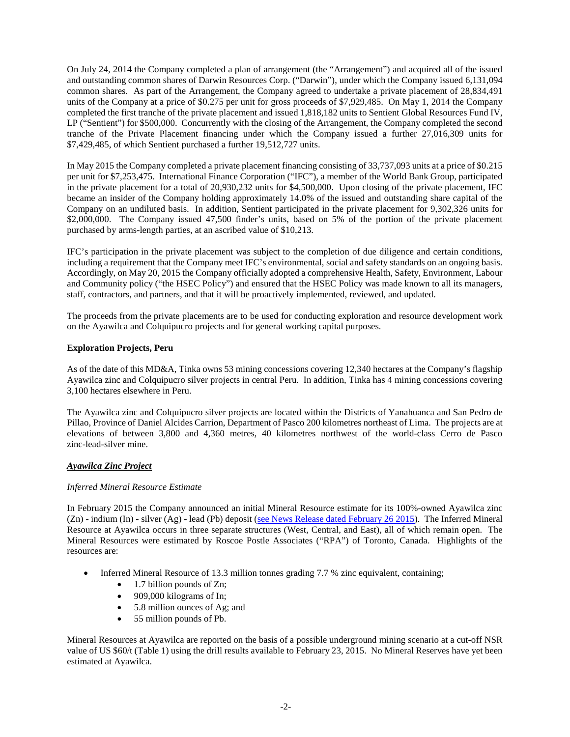On July 24, 2014 the Company completed a plan of arrangement (the "Arrangement") and acquired all of the issued and outstanding common shares of Darwin Resources Corp. ("Darwin"), under which the Company issued 6,131,094 common shares. As part of the Arrangement, the Company agreed to undertake a private placement of 28,834,491 units of the Company at a price of \$0.275 per unit for gross proceeds of \$7,929,485. On May 1, 2014 the Company completed the first tranche of the private placement and issued 1,818,182 units to Sentient Global Resources Fund IV, LP ("Sentient") for \$500,000. Concurrently with the closing of the Arrangement, the Company completed the second tranche of the Private Placement financing under which the Company issued a further 27,016,309 units for \$7,429,485, of which Sentient purchased a further 19,512,727 units.

In May 2015 the Company completed a private placement financing consisting of 33,737,093 units at a price of \$0.215 per unit for \$7,253,475. International Finance Corporation ("IFC"), a member of the World Bank Group, participated in the private placement for a total of 20,930,232 units for \$4,500,000. Upon closing of the private placement, IFC became an insider of the Company holding approximately 14.0% of the issued and outstanding share capital of the Company on an undiluted basis. In addition, Sentient participated in the private placement for 9,302,326 units for \$2,000,000. The Company issued 47,500 finder's units, based on 5% of the portion of the private placement purchased by arms-length parties, at an ascribed value of \$10,213.

IFC's participation in the private placement was subject to the completion of due diligence and certain conditions, including a requirement that the Company meet IFC's environmental, social and safety standards on an ongoing basis. Accordingly, on May 20, 2015 the Company officially adopted a comprehensive Health, Safety, Environment, Labour and Community policy ("the HSEC Policy") and ensured that the HSEC Policy was made known to all its managers, staff, contractors, and partners, and that it will be proactively implemented, reviewed, and updated.

The proceeds from the private placements are to be used for conducting exploration and resource development work on the Ayawilca and Colquipucro projects and for general working capital purposes.

# **Exploration Projects, Peru**

As of the date of this MD&A, Tinka owns 53 mining concessions covering 12,340 hectares at the Company's flagship Ayawilca zinc and Colquipucro silver projects in central Peru. In addition, Tinka has 4 mining concessions covering 3,100 hectares elsewhere in Peru.

The Ayawilca zinc and Colquipucro silver projects are located within the Districts of Yanahuanca and San Pedro de Pillao, Province of Daniel Alcides Carrion, Department of Pasco 200 kilometres northeast of Lima. The projects are at elevations of between 3,800 and 4,360 metres, 40 kilometres northwest of the world-class Cerro de Pasco zinc-lead-silver mine.

# *Ayawilca Zinc Project*

### *Inferred Mineral Resource Estimate*

In February 2015 the Company announced an initial Mineral Resource estimate for its 100%-owned Ayawilca zinc (Zn) - indium (In) - silver (Ag) - lead (Pb) deposit (see News Release [dated February 26 2015\)](http://www.tinkaresources.com/s/NewsReleases.asp?ReportID=697874&_Type=News&_Title=Tinka-Announces-Initial-Inferred-Zinc-Resource-of-13.3-Million-Tonnes-Gradi...). The Inferred Mineral Resource at Ayawilca occurs in three separate structures (West, Central, and East), all of which remain open. The Mineral Resources were estimated by Roscoe Postle Associates ("RPA") of Toronto, Canada. Highlights of the resources are:

- Inferred Mineral Resource of 13.3 million tonnes grading 7.7 % zinc equivalent, containing;
	- 1.7 billion pounds of Zn;
	- 909,000 kilograms of In;
	- 5.8 million ounces of Ag; and
	- 55 million pounds of Pb.

Mineral Resources at Ayawilca are reported on the basis of a possible underground mining scenario at a cut-off NSR value of US \$60/t (Table 1) using the drill results available to February 23, 2015. No Mineral Reserves have yet been estimated at Ayawilca.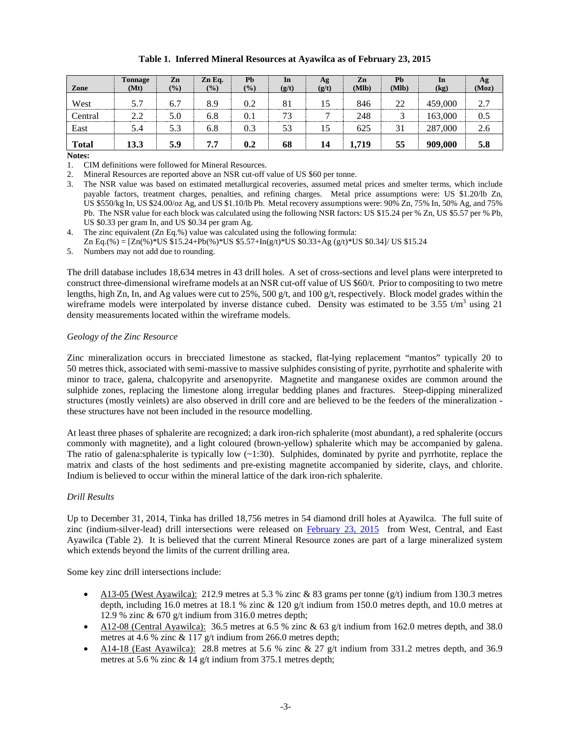| Zone         | Tonnage<br>(Mt) | Zn<br>$(\%)$ | Zn Eq.<br>(%) | Pb<br>(%) | <b>In</b><br>(g/t) | Ag<br>(g/t) | Zn<br>(Mlb) | Pb<br>(Mlb) | <b>In</b><br>(kg) | Ag<br>(Moz) |
|--------------|-----------------|--------------|---------------|-----------|--------------------|-------------|-------------|-------------|-------------------|-------------|
| West         | 5.7             | 6.7          | 8.9           | 0.2       | 81                 | 15          | 846         | 22          | 459,000           | 2.7         |
| Central      | 2.2             | 5.0          | 6.8           | O. I      | 73                 |             | 248         |             | 163.000           | 0.5         |
| East         | 5.4             | 5.3          | 6.8           | 0.3       | 53                 | 15          | 625         | 31          | 287,000           | 2.6         |
| <b>Total</b> | 13.3            | 5.9          | 7.7           | 0.2       | 68                 | 14          | 1,719       | 55          | 909.000           | 5.8         |

**Table 1. Inferred Mineral Resources at Ayawilca as of February 23, 2015**

**Notes:**

1. CIM definitions were followed for Mineral Resources.

2. Mineral Resources are reported above an NSR cut-off value of US \$60 per tonne.

3. The NSR value was based on estimated metallurgical recoveries, assumed metal prices and smelter terms, which include payable factors, treatment charges, penalties, and refining charges. Metal price assumptions were: US \$1.20/lb Zn, US \$550/kg In, US \$24.00/oz Ag, and US \$1.10/lb Pb. Metal recovery assumptions were: 90% Zn, 75% In, 50% Ag, and 75% Pb. The NSR value for each block was calculated using the following NSR factors: US \$15.24 per % Zn, US \$5.57 per % Pb, US \$0.33 per gram In, and US \$0.34 per gram Ag.

4. The zinc equivalent (Zn Eq.%) value was calculated using the following formula:

Zn Eq.(%) =  $[Zn(\%)$ \*US \$15.24+Pb(%)\*US \$5.57+In(g/t)\*US \$0.33+Ag (g/t)\*US \$0.34|/ US \$15.24

5. Numbers may not add due to rounding.

The drill database includes 18,634 metres in 43 drill holes. A set of cross-sections and level plans were interpreted to construct three-dimensional wireframe models at an NSR cut-off value of US \$60/t. Prior to compositing to two metre lengths, high Zn, In, and Ag values were cut to 25%, 500  $g/t$ , and 100  $g/t$ , respectively. Block model grades within the wireframe models were interpolated by inverse distance cubed. Density was estimated to be 3.55  $t/m<sup>3</sup>$  using 21 density measurements located within the wireframe models.

# *Geology of the Zinc Resource*

Zinc mineralization occurs in brecciated limestone as stacked, flat-lying replacement "mantos" typically 20 to 50 metres thick, associated with semi-massive to massive sulphides consisting of pyrite, pyrrhotite and sphalerite with minor to trace, galena, chalcopyrite and arsenopyrite. Magnetite and manganese oxides are common around the sulphide zones, replacing the limestone along irregular bedding planes and fractures. Steep-dipping mineralized structures (mostly veinlets) are also observed in drill core and are believed to be the feeders of the mineralization these structures have not been included in the resource modelling.

At least three phases of sphalerite are recognized; a dark iron-rich sphalerite (most abundant), a red sphalerite (occurs commonly with magnetite), and a light coloured (brown-yellow) sphalerite which may be accompanied by galena. The ratio of galena:sphalerite is typically low  $(-1.30)$ . Sulphides, dominated by pyrite and pyrrhotite, replace the matrix and clasts of the host sediments and pre-existing magnetite accompanied by siderite, clays, and chlorite. Indium is believed to occur within the mineral lattice of the dark iron-rich sphalerite.

# *Drill Results*

Up to December 31, 2014, Tinka has drilled 18,756 metres in 54 diamond drill holes at Ayawilca. The full suite of zinc (indium-silver-lead) drill intersections were released on [February 23, 2015](http://www.tinkaresources.com/s/NewsReleases.asp?ReportID=697083&_Type=News&_Title=Tinka-Confirms-Indium-With-Zinc-Mineralization-At-Ayawilca-Peru) from West, Central, and East Ayawilca (Table 2). It is believed that the current Mineral Resource zones are part of a large mineralized system which extends beyond the limits of the current drilling area.

Some key zinc drill intersections include:

- A13-05 (West Ayawilca): 212.9 metres at 5.3 % zinc & 83 grams per tonne  $(g/t)$  indium from 130.3 metres depth, including 16.0 metres at 18.1 % zinc  $& 120$  g/t indium from 150.0 metres depth, and 10.0 metres at 12.9 % zinc  $\&$  670 g/t indium from 316.0 metres depth;
- A12-08 (Central Ayawilca): 36.5 metres at 6.5 % zinc  $\&$  63 g/t indium from 162.0 metres depth, and 38.0 metres at 4.6 % zinc & 117 g/t indium from 266.0 metres depth;
- A14-18 (East Ayawilca): 28.8 metres at 5.6 % zinc & 27 g/t indium from 331.2 metres depth, and 36.9 metres at 5.6 % zinc & 14 g/t indium from 375.1 metres depth;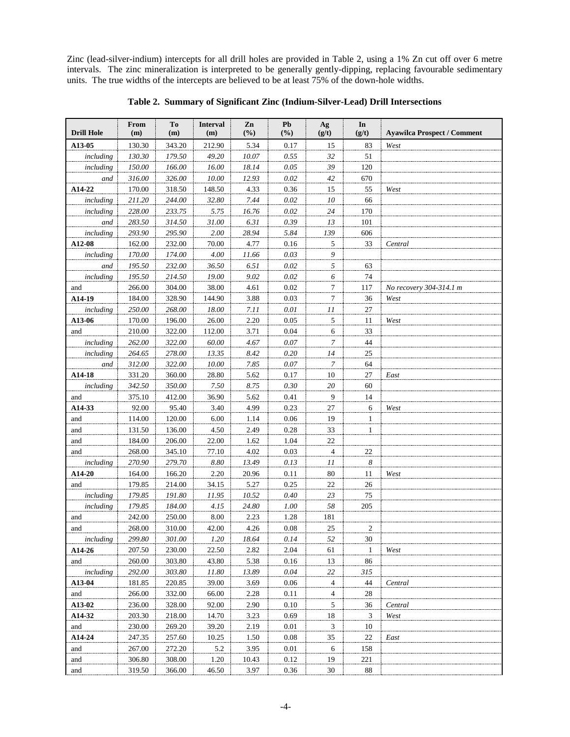Zinc (lead-silver-indium) intercepts for all drill holes are provided in Table 2, using a 1% Zn cut off over 6 metre intervals. The zinc mineralization is interpreted to be generally gently-dipping, replacing favourable sedimentary units. The true widths of the intercepts are believed to be at least 75% of the down-hole widths.

| <b>Drill Hole</b>   | From<br>(m) | To<br>(m) | <b>Interval</b><br>(m) | Zn<br>(%) | Pb<br>(%) | Ag<br>(g/t)    | In<br>(g/t)      | <b>Ayawilca Prospect / Comment</b> |
|---------------------|-------------|-----------|------------------------|-----------|-----------|----------------|------------------|------------------------------------|
| A13-05              | 130.30      | 343.20    | 212.90                 | 5.34      | 0.17      | 15             | 83               | West                               |
| including           | 130.30      | 179.50    | 49.20                  | 10.07     | 0.55      | 32             | 51               |                                    |
| including           | 150.00      | 166.00    | 16.00                  | 18.14     | 0.05      | 39             | 120              |                                    |
| and                 | 316.00      | 326.00    | 10.00                  | 12.93     | 0.02      | 42             | 670              |                                    |
| A14-22              | 170.00      | 318.50    | 148.50                 | 4.33      | 0.36      | 15             | 55               | West                               |
| including           | 211.20      | 244.00    | 32.80                  | 7.44      | 0.02      | 10             | 66               |                                    |
| including           | 228.00      | 233.75    | 5.75                   | 16.76     | 0.02      | 24             | 170              |                                    |
| and                 | 283.50      | 314.50    | 31.00                  | 6.31      | 0.39      | 13             | 101              |                                    |
| including           | 293.90      | 295.90    | 2.00                   | 28.94     | 5.84      | 139            | 606              |                                    |
| A12-08              | 162.00      | 232.00    | 70.00                  | 4.77      | 0.16      | 5              | 33               | Central                            |
| including           | 170.00      | 174.00    | 4.00                   | 11.66     | 0.03      | 9              |                  |                                    |
| and                 | 195.50      | 232.00    | 36.50                  | 6.51      | 0.02      | 5              | 63               |                                    |
| including           | 195.50      | 214.50    | 19.00                  | 9.02      | 0.02      | 6              | 74               |                                    |
| and                 | 266.00      | 304.00    | 38.00                  | 4.61      | 0.02      | $\tau$         | 117              | No recovery 304-314.1 m            |
| A14-19              | 184.00      | 328.90    | 144.90                 | 3.88      | 0.03      | 7              | 36               | West                               |
| including           | 250.00      | 268.00    | 18.00                  | 7.11      | 0.01      | 11             | 27               |                                    |
| A13-06              | 170.00      | 196.00    | 26.00                  | 2.20      | 0.05      | 5              | 11               | West                               |
| and                 | 210.00      | 322.00    | 112.00                 | 3.71      | 0.04      | 6              | 33               |                                    |
| including           | 262.00      | 322.00    | 60.00                  | 4.67      | 0.07      | 7              | 44               |                                    |
| including           | 264.65      | 278.00    | 13.35                  | 8.42      | 0.20      | 14             | 25               |                                    |
| and                 | 312.00      | 322.00    | 10.00                  | 7.85      | 0.07      | 7              | 64               |                                    |
| A14-18              | 331.20      | 360.00    | 28.80                  | 5.62      | 0.17      | 10             | 27               | East                               |
| including           | 342.50      | 350.00    | 7.50                   | 8.75      | 0.30      | 20             | 60               |                                    |
| and                 | 375.10      | 412.00    | 36.90                  | 5.62      | 0.41      | 9              | 14               |                                    |
| A14-33              | 92.00       | 95.40     | 3.40                   | 4.99      | 0.23      | 27             | 6                | West                               |
| and                 | 114.00      | 120.00    | 6.00                   | 1.14      | 0.06      | 19             | $\mathbf{1}$     |                                    |
| and                 | 131.50      | 136.00    | 4.50                   | 2.49      | 0.28      | 33             | $\overline{1}$   |                                    |
| and                 | 184.00      | 206.00    | 22.00                  | 1.62      | 1.04      | 22             |                  |                                    |
| and                 | 268.00      | 345.10    | 77.10                  | 4.02      | 0.03      | $\overline{4}$ | $22\,$           |                                    |
| including           | 270.90      | 279.70    | 8.80                   | 13.49     | 0.13      | 11             | 8                |                                    |
| A14-20              | 164.00      | 166.20    | 2.20                   | 20.96     | 0.11      | 80             | 11               | West                               |
| and                 | 179.85      | 214.00    | 34.15                  | 5.27      | 0.25      | 22             | 26               |                                    |
| including           | 179.85      | 191.80    | 11.95                  | 10.52     | 0.40      | 23             | 75               |                                    |
| including           | 179.85      | 184.00    | 4.15                   | 24.80     | 1.00      | 58             | 205              |                                    |
| and                 | 242.00      | 250.00    | 8.00                   | 2.23      | 1.28      | 181            |                  |                                    |
| and                 | 268.00      | 310.00    | 42.00                  | 4.26      | 0.08      | 25             | $\boldsymbol{2}$ |                                    |
| including           | 299.80      | 301.00    | 1.20                   | 18.64     | 0.14      | 52             | 30               |                                    |
| A14-26              | 207.50      | 230.00    | 22.50                  | 2.82      | 2.04      | 61             | $\mathbf{1}$     | West                               |
| and                 | 260.00      | 303.80    | 43.80                  | 5.38      | 0.16      | 13             | 86               |                                    |
| including           | 292.00      | 303.80    | 11.80                  | 13.89     | 0.04      | 22             | 315              |                                    |
| A13-04              | 181.85      | 220.85    | 39.00                  | 3.69      | 0.06      | $\overline{4}$ | 44               | Central                            |
| and                 | 266.00      | 332.00    | 66.00                  | 2.28      | 0.11      | $\overline{4}$ | 28               |                                    |
| A13-02              | 236.00      | 328.00    | 92.00                  | 2.90      | 0.10      | 5              | 36               | Central                            |
| A14-32              | 203.30      | 218.00    | 14.70                  | 3.23      | 0.69      | 18             | 3                | West                               |
| and                 | 230.00      | 269.20    | 39.20                  | 2.19      | 0.01      | $\overline{3}$ | 10               |                                    |
| A <sub>14</sub> -24 | 247.35      | 257.60    | 10.25                  | 1.50      | 0.08      | 35             | 22               | East                               |
| and                 | 267.00      | 272.20    | 5.2                    | 3.95      | 0.01      | 6              | 158              |                                    |
| and                 | 306.80      | 308.00    | 1.20                   | 10.43     | 0.12      | 19             | 221              |                                    |
| and                 | 319.50      | 366.00    | 46.50                  | 3.97      | 0.36      | 30             | 88               |                                    |

**Table 2. Summary of Significant Zinc (Indium-Silver-Lead) Drill Intersections**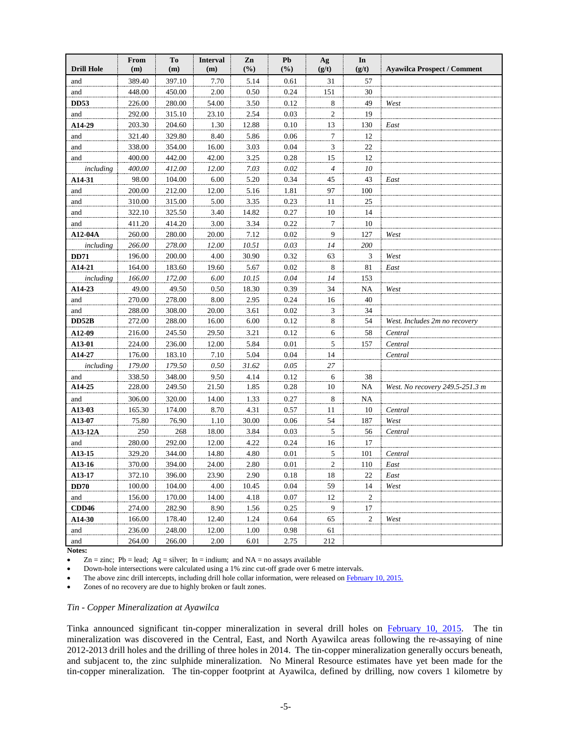| <b>Drill Hole</b> | From<br>(m) | To<br>(m) | <b>Interval</b><br>(m) | Zn<br>$(\%)$ | Pb<br>(%) | Ag<br>(g/t)    | In<br>(g/t)    | <b>Avawilca Prospect / Comment</b> |
|-------------------|-------------|-----------|------------------------|--------------|-----------|----------------|----------------|------------------------------------|
| and               | 389.40      | 397.10    | 7.70                   | 5.14         | 0.61      | 31             | 57             |                                    |
| and               | 448.00      | 450.00    | 2.00                   | 0.50         | 0.24      | 151            | 30             |                                    |
| <b>DD53</b>       | 226.00      | 280.00    | 54.00                  | 3.50         | 0.12      | 8              | 49             | West                               |
| and               | 292.00      | 315.10    | 23.10                  | 2.54         | 0.03      | 2              | 19             |                                    |
| A14-29            | 203.30      | 204.60    | 1.30                   | 12.88        | 0.10      | 13             | 130            | East                               |
| and               | 321.40      | 329.80    | 8.40                   | 5.86         | 0.06      | 7              | 12             |                                    |
| and               | 338.00      | 354.00    | 16.00                  | 3.03         | 0.04      | 3              | 22             |                                    |
| and               | 400.00      | 442.00    | 42.00                  | 3.25         | 0.28      | 15             | 12             |                                    |
| including         | 400.00      | 412.00    | 12.00                  | 7.03         | 0.02      | $\overline{4}$ | 10             |                                    |
| A14-31            | 98.00       | 104.00    | 6.00                   | 5.20         | 0.34      | 45             | 43             | East                               |
| and               | 200.00      | 212.00    | 12.00                  | 5.16         | 1.81      | 97             | 100            |                                    |
| and               | 310.00      | 315.00    | 5.00                   | 3.35         | 0.23      | 11             | 25             |                                    |
| and               | 322.10      | 325.50    | 3.40                   | 14.82        | 0.27      | 10             | 14             |                                    |
| and               | 411.20      | 414.20    | 3.00                   | 3.34         | 0.22      | 7              | 10             |                                    |
| A12-04A           | 260.00      | 280.00    | 20.00                  | 7.12         | 0.02      | 9              | 127            | West                               |
| including         | 266.00      | 278.00    | 12.00                  | 10.51        | 0.03      | 14             | 200            |                                    |
| <b>DD71</b>       | 196.00      | 200.00    | 4.00                   | 30.90        | 0.32      | 63             | 3              | West                               |
| A14-21            | 164.00      | 183.60    | 19.60                  | 5.67         | 0.02      | 8              | 81             | East                               |
| including         | 166.00      | 172.00    | 6.00                   | 10.15        | 0.04      | 14             | 153            |                                    |
| A14-23            | 49.00       | 49.50     | 0.50                   | 18.30        | 0.39      | 34             | <b>NA</b>      | West                               |
| and               | 270.00      | 278.00    | 8.00                   | 2.95         | 0.24      | 16             | 40             |                                    |
| and               | 288.00      | 308.00    | 20.00                  | 3.61         | 0.02      | 3              | 34             |                                    |
| DD52B             | 272.00      | 288.00    | 16.00                  | 6.00         | 0.12      | 8              | 54             | West. Includes 2m no recovery      |
| A12-09            | 216.00      | 245.50    | 29.50                  | 3.21         | 0.12      | 6              | 58             | Central                            |
| A13-01            | 224.00      | 236.00    | 12.00                  | 5.84         | 0.01      | 5              | 157            | Central                            |
| A14-27            | 176.00      | 183.10    | 7.10                   | 5.04         | 0.04      | 14             |                | Central                            |
| including         | 179.00      | 179.50    | 0.50                   | 31.62        | 0.05      | 27             |                |                                    |
| and               | 338.50      | 348.00    | 9.50                   | 4.14         | 0.12      | 6              | 38             |                                    |
| A14-25            | 228.00      | 249.50    | 21.50                  | 1.85         | 0.28      | 10             | NA             | West. No recovery 249.5-251.3 m    |
| and               | 306.00      | 320.00    | 14.00                  | 1.33         | 0.27      | 8              | NA             |                                    |
| A13-03            | 165.30      | 174.00    | 8.70                   | 4.31         | 0.57      | 11             | 10             | Central                            |
| A13-07            | 75.80       | 76.90     | 1.10                   | 30.00        | 0.06      | 54             | 187            | West                               |
| A13-12A           | 250         | 268       | 18.00                  | 3.84         | 0.03      | 5              | 56             | Central                            |
| and               | 280.00      | 292.00    | 12.00                  | 4.22         | 0.24      | 16             | 17             |                                    |
| A13-15            | 329.20      | 344.00    | 14.80                  | 4.80         | 0.01      | 5              | 101            | Central                            |
| A13-16            | 370.00      | 394.00    | 24.00                  | 2.80         | 0.01      | 2              | 110            | East                               |
| A13-17            | 372.10      | 396.00    | 23.90                  | 2.90         | 0.18      | 18             | $22\,$         | East                               |
| <b>DD70</b>       | 100.00      | 104.00    | 4.00                   | 10.45        | 0.04      | 59             | 14             | West                               |
| $\quad$ and       | 156.00      | 170.00    | 14.00                  | 4.18         | $0.07\,$  | 12             | $\overline{c}$ |                                    |
| <b>CDD46</b>      | 274.00      | 282.90    | 8.90                   | 1.56         | 0.25      | 9              | 17             |                                    |
| A14-30            | 166.00      | 178.40    | 12.40                  | 1.24         | 0.64      | 65             | $\mathbf{2}$   | West                               |
| and               | 236.00      | 248.00    | 12.00                  | 1.00         | 0.98      | 61             |                |                                    |
| and               | 264.00      | 266.00    | 2.00                   | 6.01         | 2.75      | $212\,$        |                |                                    |

**Notes:**

 $Zn = zinc$ ; Pb = lead; Ag = silver; In = indium; and NA = no assays available

• Down-hole intersections were calculated using a 1% zinc cut-off grade over 6 metre intervals.

• The above zinc drill intercepts, including drill hole collar information, were released on **February 10, 2015.** 

Zones of no recovery are due to highly broken or fault zones.

### *Tin - Copper Mineralization at Ayawilca*

Tinka announced significant tin-copper mineralization in several drill holes on [February 10, 2015.](http://www.tinkaresources.com/s/NewsReleases.asp?ReportID=695699&_Type=News&_Title=Tinka-Expands-Zinc-Tin-Copper-Mineralization-At-Ayawilca-Peru) The tin mineralization was discovered in the Central, East, and North Ayawilca areas following the re-assaying of nine 2012-2013 drill holes and the drilling of three holes in 2014. The tin-copper mineralization generally occurs beneath, and subjacent to, the zinc sulphide mineralization. No Mineral Resource estimates have yet been made for the tin-copper mineralization. The tin-copper footprint at Ayawilca, defined by drilling, now covers 1 kilometre by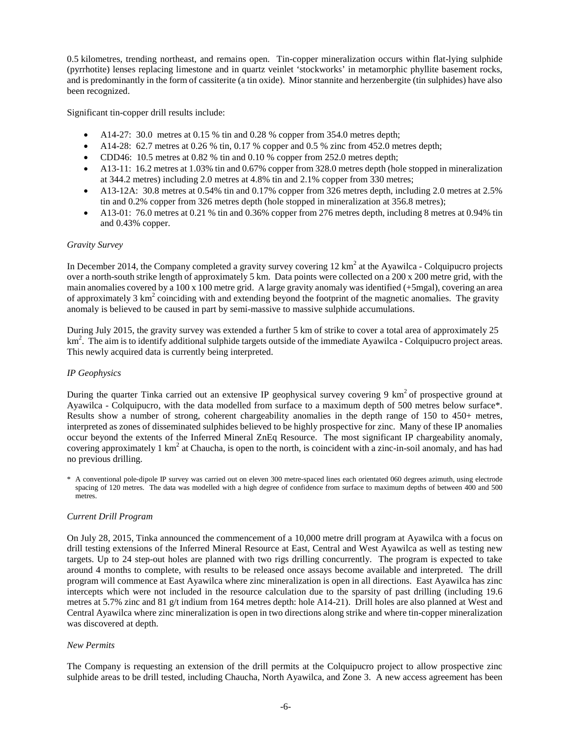0.5 kilometres, trending northeast, and remains open. Tin-copper mineralization occurs within flat-lying sulphide (pyrrhotite) lenses replacing limestone and in quartz veinlet 'stockworks' in metamorphic phyllite basement rocks, and is predominantly in the form of cassiterite (a tin oxide). Minor stannite and herzenbergite (tin sulphides) have also been recognized.

Significant tin-copper drill results include:

- A14-27: 30.0 metres at 0.15 % tin and 0.28 % copper from 354.0 metres depth;
- A14-28: 62.7 metres at 0.26 % tin, 0.17 % copper and 0.5 % zinc from 452.0 metres depth;
- CDD46: 10.5 metres at 0.82 % tin and 0.10 % copper from 252.0 metres depth;
- A13-11: 16.2 metres at 1.03% tin and 0.67% copper from 328.0 metres depth (hole stopped in mineralization at 344.2 metres) including 2.0 metres at 4.8% tin and 2.1% copper from 330 metres;
- A13-12A: 30.8 metres at 0.54% tin and 0.17% copper from 326 metres depth, including 2.0 metres at 2.5% tin and 0.2% copper from 326 metres depth (hole stopped in mineralization at 356.8 metres);
- A13-01: 76.0 metres at 0.21 % tin and 0.36% copper from 276 metres depth, including 8 metres at 0.94% tin and 0.43% copper.

### *Gravity Survey*

In December 2014, the Company completed a gravity survey covering  $12 \text{ km}^2$  at the Ayawilca - Colquipucro projects over a north-south strike length of approximately 5 km. Data points were collected on a 200 x 200 metre grid, with the main anomalies covered by a 100 x 100 metre grid. A large gravity anomaly was identified (+5mgal), covering an area of approximately  $3 \text{ km}^2$  coinciding with and extending beyond the footprint of the magnetic anomalies. The gravity anomaly is believed to be caused in part by semi-massive to massive sulphide accumulations.

During July 2015, the gravity survey was extended a further 5 km of strike to cover a total area of approximately 25 km<sup>2</sup>. The aim is to identify additional sulphide targets outside of the immediate Ayawilca - Colquipucro project areas. This newly acquired data is currently being interpreted.

# *IP Geophysics*

During the quarter Tinka carried out an extensive IP geophysical survey covering 9 km<sup>2</sup> of prospective ground at Ayawilca - Colquipucro, with the data modelled from surface to a maximum depth of 500 metres below surface\*. Results show a number of strong, coherent chargeability anomalies in the depth range of 150 to 450+ metres, interpreted as zones of disseminated sulphides believed to be highly prospective for zinc. Many of these IP anomalies occur beyond the extents of the Inferred Mineral ZnEq Resource. The most significant IP chargeability anomaly, covering approximately 1 km<sup>2</sup> at Chaucha, is open to the north, is coincident with a zinc-in-soil anomaly, and has had no previous drilling.

\* A conventional pole-dipole IP survey was carried out on eleven 300 metre-spaced lines each orientated 060 degrees azimuth, using electrode spacing of 120 metres. The data was modelled with a high degree of confidence from surface to maximum depths of between 400 and 500 metres.

# *Current Drill Program*

On July 28, 2015, Tinka announced the commencement of a 10,000 metre drill program at Ayawilca with a focus on drill testing extensions of the Inferred Mineral Resource at East, Central and West Ayawilca as well as testing new targets. Up to 24 step-out holes are planned with two rigs drilling concurrently. The program is expected to take around 4 months to complete, with results to be released once assays become available and interpreted. The drill program will commence at East Ayawilca where zinc mineralization is open in all directions. East Ayawilca has zinc intercepts which were not included in the resource calculation due to the sparsity of past drilling (including 19.6 metres at 5.7% zinc and 81 g/t indium from 164 metres depth: hole A14-21). Drill holes are also planned at West and Central Ayawilca where zinc mineralization is open in two directions along strike and where tin-copper mineralization was discovered at depth.

### *New Permits*

The Company is requesting an extension of the drill permits at the Colquipucro project to allow prospective zinc sulphide areas to be drill tested, including Chaucha, North Ayawilca, and Zone 3. A new access agreement has been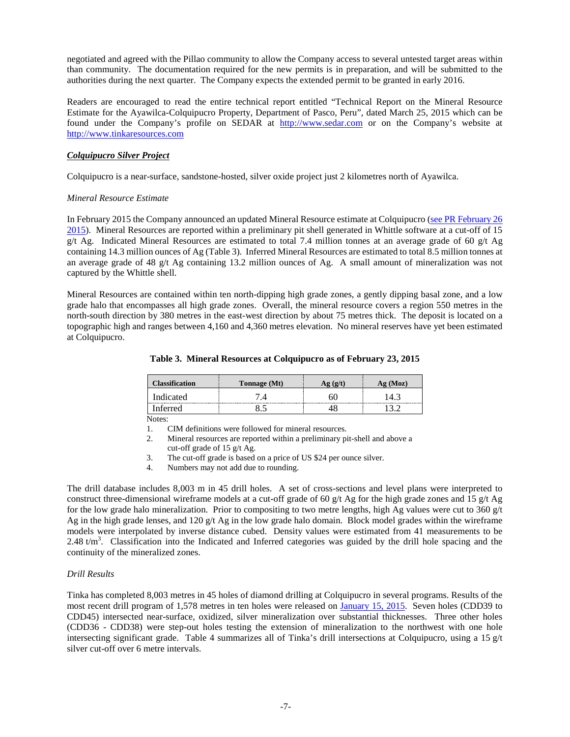negotiated and agreed with the Pillao community to allow the Company access to several untested target areas within than community. The documentation required for the new permits is in preparation, and will be submitted to the authorities during the next quarter. The Company expects the extended permit to be granted in early 2016.

Readers are encouraged to read the entire technical report entitled "Technical Report on the Mineral Resource Estimate for the Ayawilca-Colquipucro Property, Department of Pasco, Peru", dated March 25, 2015 which can be found under the Company's profile on SEDAR at [http://www.sedar.com](http://www.sedar.com/) or on the Company's website at [http://www.tinkaresources.com](http://www.tinkaresources.com/)

# *Colquipucro Silver Project*

Colquipucro is a near-surface, sandstone-hosted, silver oxide project just 2 kilometres north of Ayawilca.

## *Mineral Resource Estimate*

In February 2015 the Company announced an updated Mineral Resource estimate at Colquipucro [\(see PR February 26](http://www.tinkaresources.com/s/NewsReleases.asp?ReportID=697874&_Type=News&_Title=Tinka-Announces-Initial-Inferred-Zinc-Resource-of-13.3-Million-Tonnes-Gradi...)  [2015\)](http://www.tinkaresources.com/s/NewsReleases.asp?ReportID=697874&_Type=News&_Title=Tinka-Announces-Initial-Inferred-Zinc-Resource-of-13.3-Million-Tonnes-Gradi...). Mineral Resources are reported within a preliminary pit shell generated in Whittle software at a cut-off of 15 g/t Ag. Indicated Mineral Resources are estimated to total 7.4 million tonnes at an average grade of 60 g/t Ag containing 14.3 million ounces of Ag (Table 3). Inferred Mineral Resources are estimated to total 8.5 million tonnes at an average grade of 48 g/t Ag containing 13.2 million ounces of Ag. A small amount of mineralization was not captured by the Whittle shell.

Mineral Resources are contained within ten north-dipping high grade zones, a gently dipping basal zone, and a low grade halo that encompasses all high grade zones. Overall, the mineral resource covers a region 550 metres in the north-south direction by 380 metres in the east-west direction by about 75 metres thick. The deposit is located on a topographic high and ranges between 4,160 and 4,360 metres elevation. No mineral reserves have yet been estimated at Colquipucro.

| <b>Classification</b> | Tonnage (Mt) | Ag(Moz)    |
|-----------------------|--------------|------------|
| Indicated             |              | $\sqrt{ }$ |
| nferred)              |              |            |

# **Table 3. Mineral Resources at Colquipucro as of February 23, 2015**

Notes:

1. CIM definitions were followed for mineral resources.

2. Mineral resources are reported within a preliminary pit-shell and above a cut-off grade of 15 g/t Ag.

- 3. The cut-off grade is based on a price of US \$24 per ounce silver.
- 4. Numbers may not add due to rounding.

The drill database includes 8,003 m in 45 drill holes. A set of cross-sections and level plans were interpreted to construct three-dimensional wireframe models at a cut-off grade of 60  $g/t$  Ag for the high grade zones and 15  $g/t$  Ag for the low grade halo mineralization. Prior to compositing to two metre lengths, high Ag values were cut to  $360 \text{ g/t}$ Ag in the high grade lenses, and 120 g/t Ag in the low grade halo domain. Block model grades within the wireframe models were interpolated by inverse distance cubed. Density values were estimated from 41 measurements to be 2.48  $t/m<sup>3</sup>$ . Classification into the Indicated and Inferred categories was guided by the drill hole spacing and the continuity of the mineralized zones.

# *Drill Results*

Tinka has completed 8,003 metres in 45 holes of diamond drilling at Colquipucro in several programs. Results of the most recent drill program of 1,578 metres in ten holes were released on [January 15, 2015.](http://www.tinkaresources.com/s/NewsReleases.asp?ReportID=691218&_Type=News&_Title=Tinka-Announces-Results-Of-1600-Metre-Ten-Hole-Drill-Program-At-Colquipucro...) Seven holes (CDD39 to CDD45) intersected near-surface, oxidized, silver mineralization over substantial thicknesses. Three other holes (CDD36 - CDD38) were step-out holes testing the extension of mineralization to the northwest with one hole intersecting significant grade. Table 4 summarizes all of Tinka's drill intersections at Colquipucro, using a 15 g/t silver cut-off over 6 metre intervals.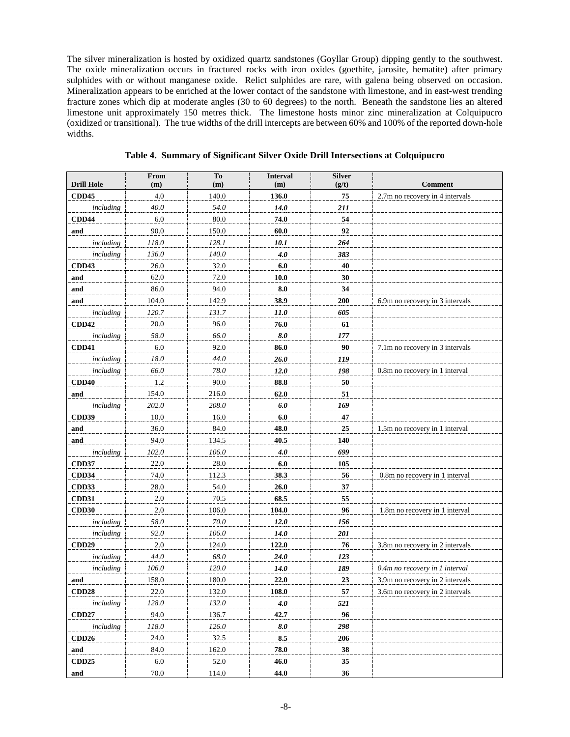The silver mineralization is hosted by oxidized quartz sandstones (Goyllar Group) dipping gently to the southwest. The oxide mineralization occurs in fractured rocks with iron oxides (goethite, jarosite, hematite) after primary sulphides with or without manganese oxide. Relict sulphides are rare, with galena being observed on occasion. Mineralization appears to be enriched at the lower contact of the sandstone with limestone, and in east-west trending fracture zones which dip at moderate angles (30 to 60 degrees) to the north. Beneath the sandstone lies an altered limestone unit approximately 150 metres thick. The limestone hosts minor zinc mineralization at Colquipucro (oxidized or transitional). The true widths of the drill intercepts are between 60% and 100% of the reported down-hole widths.

| <b>Drill Hole</b>         | From       | To<br>(m)     | <b>Interval</b><br>(m) | <b>Silver</b> | <b>Comment</b>                  |
|---------------------------|------------|---------------|------------------------|---------------|---------------------------------|
|                           | (m)<br>4.0 | 140.0         |                        | (g/t)         |                                 |
| <b>CDD45</b>              | 40.0       | 54.0          | 136.0<br>14.0          | 75            | 2.7m no recovery in 4 intervals |
| including<br><b>CDD44</b> | 6.0        |               | 74.0                   | 211<br>54     |                                 |
|                           | 90.0       | 80.0<br>150.0 | 60.0                   | 92            |                                 |
| and                       |            |               |                        |               |                                 |
| including                 | 118.0      | 128.1         | 10.1                   | 264           |                                 |
| including                 | 136.0      | 140.0         | 4.0                    | 383           |                                 |
| CDD43                     | 26.0       | 32.0          | 6.0                    | 40            |                                 |
| and                       | 62.0       | 72.0          | 10.0                   | 30            |                                 |
| and                       | 86.0       | 94.0          | 8.0                    | 34            |                                 |
| and                       | 104.0      | 142.9         | 38.9                   | 200           | 6.9m no recovery in 3 intervals |
| including                 | 120.7      | 131.7         | 11.0                   | 605           |                                 |
| <b>CDD42</b>              | 20.0       | 96.0          | 76.0                   | 61            |                                 |
| including                 | 58.0       | 66.0          | 8.0                    | 177           |                                 |
| <b>CDD41</b>              | 6.0        | 92.0          | 86.0                   | 90            | 7.1m no recovery in 3 intervals |
| including                 | 18.0       | 44.0          | 26.0                   | 119           |                                 |
| including                 | 66.0       | 78.0          | 12.0                   | 198           | 0.8m no recovery in 1 interval  |
| <b>CDD40</b>              | 1.2        | 90.0          | 88.8                   | 50            |                                 |
| and                       | 154.0      | 216.0         | 62.0                   | 51            |                                 |
| including                 | 202.0      | 208.0         | 6.0                    | 169           |                                 |
| <b>CDD39</b>              | 10.0       | 16.0          | 6.0                    | 47            |                                 |
| and                       | 36.0       | 84.0          | 48.0                   | 25            | 1.5m no recovery in 1 interval  |
| and                       | 94.0       | 134.5         | 40.5                   | 140           |                                 |
| including                 | 102.0      | 106.0         | 4.0                    | 699           |                                 |
| <b>CDD37</b>              | 22.0       | 28.0          | 6.0                    | 105           |                                 |
| <b>CDD34</b>              | 74.0       | 112.3         | 38.3                   | 56            | 0.8m no recovery in 1 interval  |
| <b>CDD33</b>              | 28.0       | 54.0          | 26.0                   | 37            |                                 |
| <b>CDD31</b>              | 2.0        | 70.5          | 68.5                   | 55            |                                 |
| CDD30                     | 2.0        | 106.0         | 104.0                  | 96            | 1.8m no recovery in 1 interval  |
| including                 | 58.0       | 70.0          | 12.0                   | 156           |                                 |
| including                 | 92.0       | 106.0         | 14.0                   | 201           |                                 |
| CDD <sub>29</sub>         | 2.0        | 124.0         | 122.0                  | 76            | 3.8m no recovery in 2 intervals |
| including                 | 44.0       | 68.0          | 24.0                   | 123           |                                 |
| including                 | 106.0      | 120.0         | 14.0                   | 189           | 0.4m no recovery in 1 interval  |
| and                       | 158.0      | 180.0         | 22.0                   | 23            | 3.9m no recovery in 2 intervals |
| <b>CDD28</b>              | 22.0       | 132.0         | 108.0                  | 57            | 3.6m no recovery in 2 intervals |
| including                 | 128.0      | 132.0         | 4.0                    | 521           |                                 |
| CDD27                     | 94.0       | 136.7         | 42.7                   | 96            |                                 |
| including                 | 118.0      | 126.0         | 8.0                    | 298           |                                 |
| CDD <sub>26</sub>         | 24.0       | 32.5          | 8.5                    | 206           |                                 |
| and                       | 84.0       | 162.0         | 78.0                   | 38            |                                 |
| <b>CDD25</b>              | $6.0\,$    | 52.0          | 46.0                   | 35            |                                 |
| and                       | 70.0       | 114.0         | 44.0                   | 36            |                                 |

**Table 4. Summary of Significant Silver Oxide Drill Intersections at Colquipucro**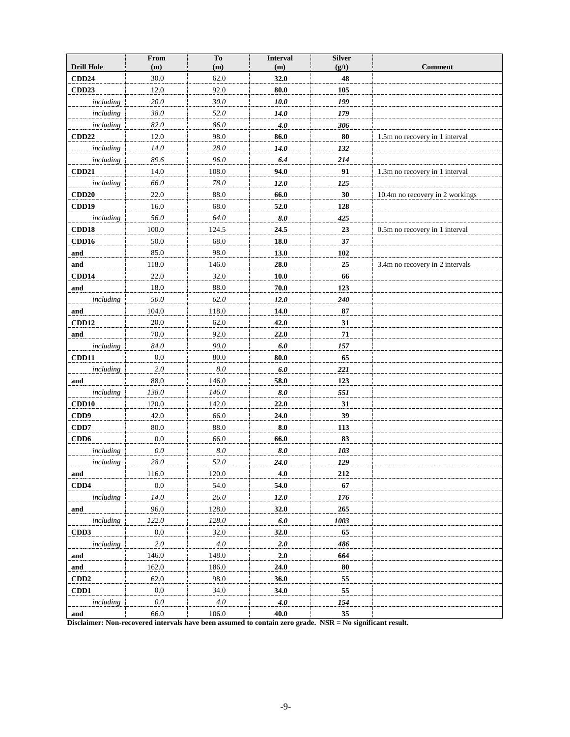|                   | From    | To      | <b>Interval</b> | <b>Silver</b> |                                 |
|-------------------|---------|---------|-----------------|---------------|---------------------------------|
| <b>Drill Hole</b> | (m)     | (m)     | (m)             | (g/t)         | <b>Comment</b>                  |
| <b>CDD24</b>      | 30.0    | 62.0    | 32.0            | 48            |                                 |
| <b>CDD23</b>      | 12.0    | 92.0    | 80.0            | 105           |                                 |
| including         | 20.0    | 30.0    | 10.0            | 199           |                                 |
| including         | 38.0    | 52.0    | 14.0            | 179           |                                 |
| including         | 82.0    | 86.0    | 4.0             | 306           |                                 |
| CDD <sub>22</sub> | 12.0    | 98.0    | 86.0            | 80            | 1.5m no recovery in 1 interval  |
| including         | 14.0    | 28.0    | 14.0            | 132           |                                 |
| including         | 89.6    | 96.0    | 6.4             | 214           |                                 |
| <b>CDD21</b>      | 14.0    | 108.0   | 94.0            | 91            | 1.3m no recovery in 1 interval  |
| including         | 66.0    | 78.0    | 12.0            | 125           |                                 |
| CDD20             | 22.0    | 88.0    | 66.0            | 30            | 10.4m no recovery in 2 workings |
| CDD19             | 16.0    | 68.0    | 52.0            | 128           |                                 |
| including         | 56.0    | 64.0    | 8.0             | 425           |                                 |
| CDD18             | 100.0   | 124.5   | 24.5            | 23            | 0.5m no recovery in 1 interval  |
| CDD16             | 50.0    | 68.0    | 18.0            | 37            |                                 |
| and               | 85.0    | 98.0    | 13.0            | 102           |                                 |
| and               | 118.0   | 146.0   | 28.0            | 25            | 3.4m no recovery in 2 intervals |
| CDD14             | 22.0    | 32.0    | 10.0            | 66            |                                 |
| and               | 18.0    | 88.0    | 70.0            | 123           |                                 |
| including         | 50.0    | 62.0    | 12.0            | 240           |                                 |
| and               | 104.0   | 118.0   | 14.0            | 87            |                                 |
| CDD12             | 20.0    | 62.0    | 42.0            | 31            |                                 |
| and               | 70.0    | 92.0    | 22.0            | 71            |                                 |
| including         | 84.0    | 90.0    | 6.0             | 157           |                                 |
| CDD11             | 0.0     | 80.0    | 80.0            | 65            |                                 |
| including         | 2.0     | 8.0     | 6.0             | 221           |                                 |
| and               | 88.0    | 146.0   | 58.0            | 123           |                                 |
| including         | 138.0   | 146.0   | 8.0             | 551           |                                 |
| CDD10             | 120.0   | 142.0   | 22.0            | 31            |                                 |
| CDD9              | 42.0    | 66.0    | 24.0            | 39            |                                 |
| CDD7              | 80.0    | 88.0    | 8.0             | 113           |                                 |
| CDD <sub>6</sub>  | 0.0     | 66.0    | 66.0            | 83            |                                 |
| including         | $0.0\,$ | $8.0\,$ | 8.0             | 103           |                                 |
| including         | 28.0    | 52.0    | 24.0            | 129           |                                 |
| and               | 116.0   | 120.0   | 4.0             | 212           |                                 |
| CDD4              | 0.0     | 54.0    | 54.0            | 67            |                                 |
| including         | $14.0$  | 26.0    | 12.0            | 176           |                                 |
| and               | 96.0    | 128.0   | 32.0            | 265           |                                 |
| including         | 122.0   | 128.0   | $6.0\,$         | 1003          |                                 |
| CDD <sub>3</sub>  | 0.0     | 32.0    | 32.0            | 65            |                                 |
| including         | $2.0\,$ | $4.0\,$ | 2.0             | 486           |                                 |
| and               | 146.0   | 148.0   | 2.0             | 664           |                                 |
| and               | 162.0   | 186.0   | 24.0            | 80            |                                 |
| CD <sub>D</sub> 2 | 62.0    | 98.0    | 36.0            | 55            |                                 |
| CD <sub>D</sub> 1 | 0.0     | 34.0    | 34.0            | 55            |                                 |
| including         | $0.0\,$ | 4.0     | 4.0             | 154           |                                 |
| and               | 66.0    | 106.0   | 40.0            | 35            |                                 |

**Disclaimer: Non-recovered intervals have been assumed to contain zero grade. NSR = No significant result.**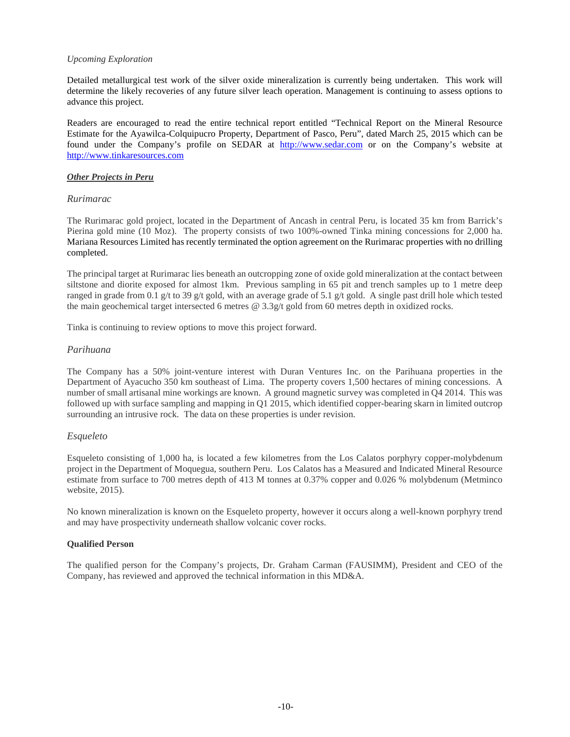# *Upcoming Exploration*

Detailed metallurgical test work of the silver oxide mineralization is currently being undertaken. This work will determine the likely recoveries of any future silver leach operation. Management is continuing to assess options to advance this project.

Readers are encouraged to read the entire technical report entitled "Technical Report on the Mineral Resource Estimate for the Ayawilca-Colquipucro Property, Department of Pasco, Peru", dated March 25, 2015 which can be found under the Company's profile on SEDAR at [http://www.sedar.com](http://www.sedar.com/) or on the Company's website at [http://www.tinkaresources.com](http://www.tinkaresources.com/)

## *Other Projects in Peru*

## *Rurimarac*

The Rurimarac gold project, located in the Department of Ancash in central Peru, is located 35 km from Barrick's Pierina gold mine (10 Moz). The property consists of two 100%-owned Tinka mining concessions for 2,000 ha. Mariana Resources Limited has recently terminated the option agreement on the Rurimarac properties with no drilling completed.

The principal target at Rurimarac lies beneath an outcropping zone of oxide gold mineralization at the contact between siltstone and diorite exposed for almost 1km. Previous sampling in 65 pit and trench samples up to 1 metre deep ranged in grade from 0.1 g/t to 39 g/t gold, with an average grade of 5.1 g/t gold. A single past drill hole which tested the main geochemical target intersected 6 metres @ 3.3g/t gold from 60 metres depth in oxidized rocks.

Tinka is continuing to review options to move this project forward.

## *Parihuana*

The Company has a 50% joint-venture interest with Duran Ventures Inc. on the Parihuana properties in the Department of Ayacucho 350 km southeast of Lima. The property covers 1,500 hectares of mining concessions. A number of small artisanal mine workings are known. A ground magnetic survey was completed in Q4 2014. This was followed up with surface sampling and mapping in Q1 2015, which identified copper-bearing skarn in limited outcrop surrounding an intrusive rock. The data on these properties is under revision.

# *Esqueleto*

Esqueleto consisting of 1,000 ha, is located a few kilometres from the Los Calatos porphyry copper-molybdenum project in the Department of Moquegua, southern Peru. Los Calatos has a Measured and Indicated Mineral Resource estimate from surface to 700 metres depth of 413 M tonnes at 0.37% copper and 0.026 % molybdenum (Metminco website, 2015).

No known mineralization is known on the Esqueleto property, however it occurs along a well-known porphyry trend and may have prospectivity underneath shallow volcanic cover rocks.

### **Qualified Person**

The qualified person for the Company's projects, Dr. Graham Carman (FAUSIMM), President and CEO of the Company, has reviewed and approved the technical information in this MD&A.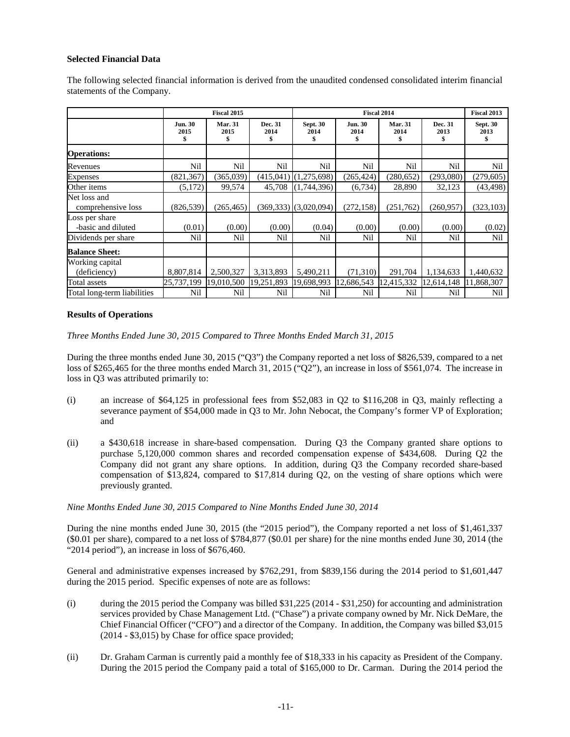# **Selected Financial Data**

The following selected financial information is derived from the unaudited condensed consolidated interim financial statements of the Company.

|                                      |                       | <b>Fiscal 2015</b>          |                      | Fiscal 2014                   |                              |                              |                      | Fiscal 2013                   |
|--------------------------------------|-----------------------|-----------------------------|----------------------|-------------------------------|------------------------------|------------------------------|----------------------|-------------------------------|
|                                      | Jun. 30<br>2015<br>\$ | <b>Mar. 31</b><br>2015<br>S | Dec. 31<br>2014<br>S | <b>Sept. 30</b><br>2014<br>\$ | <b>Jun. 30</b><br>2014<br>\$ | <b>Mar. 31</b><br>2014<br>\$ | Dec. 31<br>2013<br>S | <b>Sept. 30</b><br>2013<br>\$ |
| <b>Operations:</b>                   |                       |                             |                      |                               |                              |                              |                      |                               |
| Revenues                             | Nil                   | Nil                         | Nil                  | Nil                           | Nil                          | Nil                          | Nil                  | Nil                           |
| <b>Expenses</b>                      | (821, 367)            | (365,039)                   |                      | $(415,041)$ $(1,275,698)$     | (265, 424)                   | (280, 652)                   | (293,080)            | (279, 605)                    |
| Other items                          | (5,172)               | 99,574                      | 45,708               | (1,744,396)                   | (6,734)                      | 28,890                       | 32,123               | (43, 498)                     |
| Net loss and<br>comprehensive loss   | (826, 539)            | (265, 465)                  |                      | $(369, 333)$ $(3, 020, 094)$  | (272, 158)                   | (251,762)                    | (260, 957)           | (323, 103)                    |
| Loss per share<br>-basic and diluted | (0.01)                | (0.00)                      | (0.00)               | (0.04)                        | (0.00)                       | (0.00)                       | (0.00)               | (0.02)                        |
| Dividends per share                  | Nil                   | Nil                         | Nil                  | Nil                           | <b>Nil</b>                   | Nil                          | Nil                  | Nil                           |
| <b>Balance Sheet:</b>                |                       |                             |                      |                               |                              |                              |                      |                               |
| Working capital                      |                       |                             |                      |                               |                              |                              |                      |                               |
| (deficiency)                         | 8,807,814             | 2,500,327                   | 3,313,893            | 5,490,211                     | (71,310)                     | 291,704                      | 1,134,633            | 1,440,632                     |
| Total assets                         | 25,737,199            | 19,010,500                  | 19,251,893           | 19,698,993                    | 12,686,543                   | 12,415,332                   | 12,614,148           | 11,868,307                    |
| Total long-term liabilities          | Nil                   | Nil                         | Nil                  | Nil                           | Nil                          | Nil                          | Nil                  | Nil                           |

### **Results of Operations**

*Three Months Ended June 30, 2015 Compared to Three Months Ended March 31, 2015*

During the three months ended June 30, 2015 ("Q3") the Company reported a net loss of \$826,539, compared to a net loss of \$265,465 for the three months ended March 31, 2015 ("Q2"), an increase in loss of \$561,074. The increase in loss in Q3 was attributed primarily to:

- (i) an increase of \$64,125 in professional fees from \$52,083 in Q2 to \$116,208 in Q3, mainly reflecting a severance payment of \$54,000 made in Q3 to Mr. John Nebocat, the Company's former VP of Exploration; and
- (ii) a \$430,618 increase in share-based compensation. During Q3 the Company granted share options to purchase 5,120,000 common shares and recorded compensation expense of \$434,608. During Q2 the Company did not grant any share options. In addition, during Q3 the Company recorded share-based compensation of \$13,824, compared to \$17,814 during Q2, on the vesting of share options which were previously granted.

## *Nine Months Ended June 30, 2015 Compared to Nine Months Ended June 30, 2014*

During the nine months ended June 30, 2015 (the "2015 period"), the Company reported a net loss of \$1,461,337 (\$0.01 per share), compared to a net loss of \$784,877 (\$0.01 per share) for the nine months ended June 30, 2014 (the "2014 period"), an increase in loss of \$676,460.

General and administrative expenses increased by \$762,291, from \$839,156 during the 2014 period to \$1,601,447 during the 2015 period. Specific expenses of note are as follows:

- (i) during the 2015 period the Company was billed \$31,225 (2014 \$31,250) for accounting and administration services provided by Chase Management Ltd. ("Chase") a private company owned by Mr. Nick DeMare, the Chief Financial Officer ("CFO") and a director of the Company. In addition, the Company was billed \$3,015 (2014 - \$3,015) by Chase for office space provided;
- (ii) Dr. Graham Carman is currently paid a monthly fee of \$18,333 in his capacity as President of the Company. During the 2015 period the Company paid a total of \$165,000 to Dr. Carman. During the 2014 period the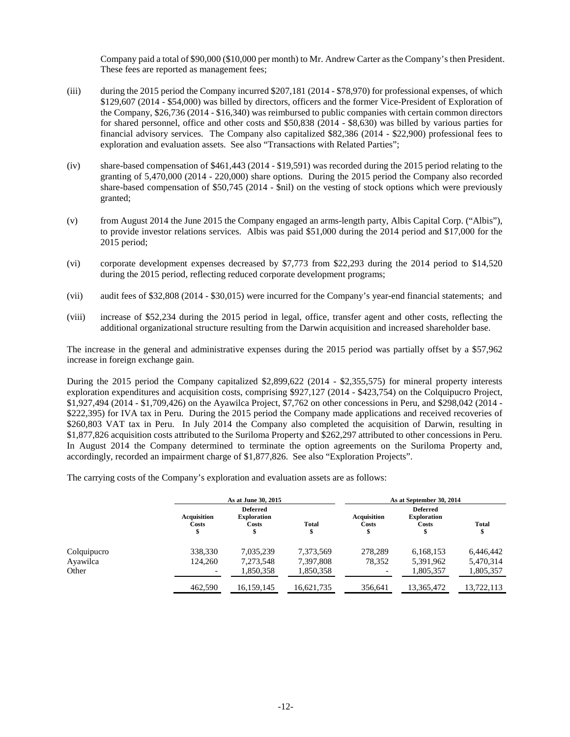Company paid a total of \$90,000 (\$10,000 per month) to Mr. Andrew Carter as the Company's then President. These fees are reported as management fees;

- (iii) during the 2015 period the Company incurred \$207,181 (2014 \$78,970) for professional expenses, of which \$129,607 (2014 - \$54,000) was billed by directors, officers and the former Vice-President of Exploration of the Company, \$26,736 (2014 - \$16,340) was reimbursed to public companies with certain common directors for shared personnel, office and other costs and \$50,838 (2014 - \$8,630) was billed by various parties for financial advisory services. The Company also capitalized \$82,386 (2014 - \$22,900) professional fees to exploration and evaluation assets. See also "Transactions with Related Parties";
- (iv) share-based compensation of \$461,443 (2014 \$19,591) was recorded during the 2015 period relating to the granting of 5,470,000 (2014 - 220,000) share options. During the 2015 period the Company also recorded share-based compensation of \$50,745 (2014 - \$nil) on the vesting of stock options which were previously granted;
- (v) from August 2014 the June 2015 the Company engaged an arms-length party, Albis Capital Corp. ("Albis"), to provide investor relations services. Albis was paid \$51,000 during the 2014 period and \$17,000 for the 2015 period;
- (vi) corporate development expenses decreased by \$7,773 from \$22,293 during the 2014 period to \$14,520 during the 2015 period, reflecting reduced corporate development programs;
- (vii) audit fees of \$32,808 (2014 \$30,015) were incurred for the Company's year-end financial statements; and
- (viii) increase of \$52,234 during the 2015 period in legal, office, transfer agent and other costs, reflecting the additional organizational structure resulting from the Darwin acquisition and increased shareholder base.

The increase in the general and administrative expenses during the 2015 period was partially offset by a \$57,962 increase in foreign exchange gain.

During the 2015 period the Company capitalized \$2,899,622 (2014 - \$2,355,575) for mineral property interests exploration expenditures and acquisition costs, comprising \$927,127 (2014 - \$423,754) on the Colquipucro Project, \$1,927,494 (2014 - \$1,709,426) on the Ayawilca Project, \$7,762 on other concessions in Peru, and \$298,042 (2014 - \$222,395) for IVA tax in Peru. During the 2015 period the Company made applications and received recoveries of \$260,803 VAT tax in Peru. In July 2014 the Company also completed the acquisition of Darwin, resulting in \$1,877,826 acquisition costs attributed to the Suriloma Property and \$262,297 attributed to other concessions in Peru. In August 2014 the Company determined to terminate the option agreements on the Suriloma Property and, accordingly, recorded an impairment charge of \$1,877,826. See also "Exploration Projects".

The carrying costs of the Company's exploration and evaluation assets are as follows:

|             |                                   | As at June 30, 2015                                  |                   | As at September 30, 2014              |                                                |             |  |
|-------------|-----------------------------------|------------------------------------------------------|-------------------|---------------------------------------|------------------------------------------------|-------------|--|
|             | <b>Acquisition</b><br>Costs<br>\$ | <b>Deferred</b><br><b>Exploration</b><br>Costs<br>\$ | <b>Total</b><br>э | <b>Acquisition</b><br>Costs<br>ቃ<br>ъ | <b>Deferred</b><br><b>Exploration</b><br>Costs | Total<br>\$ |  |
| Colquipucro | 338,330                           | 7,035,239                                            | 7,373,569         | 278.289                               | 6,168,153                                      | 6,446,442   |  |
| Ayawilca    | 124,260                           | 7,273,548                                            | 7,397,808         | 78,352                                | 5,391,962                                      | 5,470,314   |  |
| Other       |                                   | 1,850,358                                            | 1,850,358         | $\overline{\phantom{0}}$              | 1,805,357                                      | 1,805,357   |  |
|             | 462,590                           | 16,159,145                                           | 16,621,735        | 356,641                               | 13.365.472                                     | 13,722,113  |  |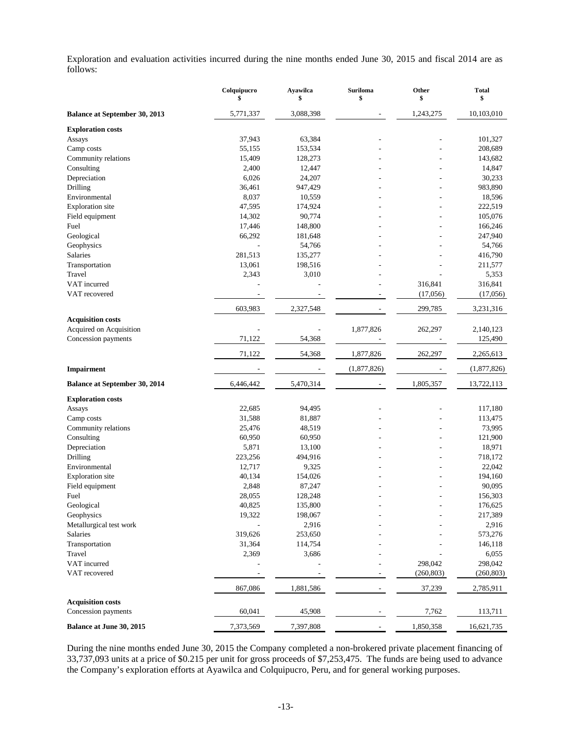Exploration and evaluation activities incurred during the nine months ended June 30, 2015 and fiscal 2014 are as follows:

|                                      | Colquipucro<br>\$ | Ayawilca<br>\$ | Suriloma<br>\$           | Other<br>\$                  | <b>Total</b><br>\$ |
|--------------------------------------|-------------------|----------------|--------------------------|------------------------------|--------------------|
| <b>Balance at September 30, 2013</b> | 5,771,337         | 3,088,398      |                          | 1,243,275                    | 10,103,010         |
| <b>Exploration costs</b>             |                   |                |                          |                              |                    |
| Assays                               | 37,943            | 63,384         |                          |                              | 101,327            |
| Camp costs                           | 55,155            | 153,534        |                          |                              | 208,689            |
| Community relations                  | 15,409            | 128,273        |                          |                              | 143,682            |
| Consulting                           | 2,400             | 12,447         |                          |                              | 14,847             |
| Depreciation                         | 6,026             | 24,207         |                          |                              | 30,233             |
| Drilling                             | 36,461            | 947,429        |                          |                              | 983,890            |
| Environmental                        | 8,037             | 10,559         |                          |                              | 18,596             |
| <b>Exploration</b> site              | 47,595            | 174,924        |                          |                              | 222,519            |
| Field equipment                      | 14,302            | 90,774         |                          |                              | 105,076            |
| Fuel                                 | 17,446            | 148,800        |                          |                              | 166,246            |
| Geological                           | 66,292            | 181,648        |                          |                              | 247,940            |
| Geophysics                           | L,                | 54,766         |                          |                              | 54,766             |
| Salaries                             | 281,513           | 135,277        |                          |                              | 416,790            |
| Transportation                       | 13,061            | 198,516        |                          |                              | 211,577            |
| Travel                               | 2,343             | 3,010          |                          |                              | 5,353              |
| VAT incurred                         |                   |                |                          | 316,841                      | 316,841            |
| VAT recovered                        |                   |                |                          | (17,056)                     | (17,056)           |
|                                      | 603,983           | 2,327,548      |                          | 299,785                      | 3,231,316          |
| <b>Acquisition costs</b>             |                   |                |                          |                              |                    |
| Acquired on Acquisition              |                   |                | 1,877,826                | 262,297                      | 2,140,123          |
| Concession payments                  | 71,122            | 54,368         |                          |                              | 125,490            |
|                                      | 71,122            | 54,368         | 1,877,826                | 262,297                      | 2,265,613          |
| <b>Impairment</b>                    |                   |                | (1,877,826)              |                              | (1,877,826)        |
| <b>Balance at September 30, 2014</b> | 6,446,442         | 5,470,314      |                          | 1,805,357                    | 13,722,113         |
| <b>Exploration costs</b>             |                   |                |                          |                              |                    |
| Assays                               | 22,685            | 94,495         |                          |                              | 117,180            |
| Camp costs                           | 31,588            | 81,887         |                          |                              | 113,475            |
| Community relations                  | 25,476            | 48,519         |                          |                              | 73,995             |
| Consulting                           | 60,950            | 60,950         |                          |                              | 121,900            |
| Depreciation                         | 5,871             | 13,100         |                          |                              | 18,971             |
| Drilling                             | 223,256           | 494,916        |                          |                              | 718,172            |
| Environmental                        | 12,717            | 9,325          |                          |                              | 22,042             |
| <b>Exploration</b> site              | 40,134            | 154,026        |                          |                              | 194,160            |
| Field equipment                      | 2,848             | 87,247         |                          |                              | 90,095             |
| Fuel                                 | 28,055            | 128,248        |                          |                              | 156,303            |
| Geological                           | 40,825            | 135,800        |                          | $\qquad \qquad \blacksquare$ | 176,625            |
| Geophysics                           | 19,322            | 198,067        |                          |                              | 217,389            |
| Metallurgical test work              |                   | 2,916          |                          |                              | 2,916              |
| Salaries                             | 319,626           | 253,650        |                          |                              | 573,276            |
| Transportation                       | 31,364            | 114,754        |                          |                              | 146,118            |
| Travel                               | 2,369             | 3,686          |                          |                              | 6,055              |
| VAT incurred                         |                   |                |                          | 298,042                      | 298,042            |
| VAT recovered                        |                   |                |                          | (260, 803)                   | (260, 803)         |
|                                      | 867,086           | 1,881,586      | $\overline{\phantom{a}}$ | 37,239                       | 2,785,911          |
| <b>Acquisition costs</b>             |                   |                |                          |                              |                    |
| Concession payments                  | 60,041            | 45,908         |                          | 7,762                        | 113,711            |
| Balance at June 30, 2015             | 7,373,569         | 7,397,808      |                          | 1,850,358                    | 16,621,735         |

During the nine months ended June 30, 2015 the Company completed a non-brokered private placement financing of 33,737,093 units at a price of \$0.215 per unit for gross proceeds of \$7,253,475. The funds are being used to advance the Company's exploration efforts at Ayawilca and Colquipucro, Peru, and for general working purposes.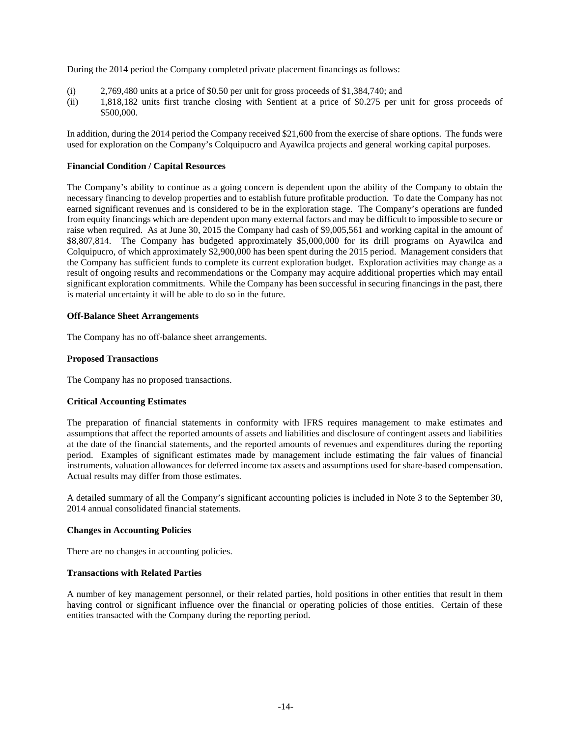During the 2014 period the Company completed private placement financings as follows:

- (i) 2,769,480 units at a price of \$0.50 per unit for gross proceeds of \$1,384,740; and
- (ii) 1,818,182 units first tranche closing with Sentient at a price of \$0.275 per unit for gross proceeds of \$500,000.

In addition, during the 2014 period the Company received \$21,600 from the exercise of share options. The funds were used for exploration on the Company's Colquipucro and Ayawilca projects and general working capital purposes.

## **Financial Condition / Capital Resources**

The Company's ability to continue as a going concern is dependent upon the ability of the Company to obtain the necessary financing to develop properties and to establish future profitable production. To date the Company has not earned significant revenues and is considered to be in the exploration stage. The Company's operations are funded from equity financings which are dependent upon many external factors and may be difficult to impossible to secure or raise when required. As at June 30, 2015 the Company had cash of \$9,005,561 and working capital in the amount of \$8,807,814. The Company has budgeted approximately \$5,000,000 for its drill programs on Ayawilca and Colquipucro, of which approximately \$2,900,000 has been spent during the 2015 period. Management considers that the Company has sufficient funds to complete its current exploration budget. Exploration activities may change as a result of ongoing results and recommendations or the Company may acquire additional properties which may entail significant exploration commitments. While the Company has been successful in securing financings in the past, there is material uncertainty it will be able to do so in the future.

### **Off-Balance Sheet Arrangements**

The Company has no off-balance sheet arrangements.

### **Proposed Transactions**

The Company has no proposed transactions.

# **Critical Accounting Estimates**

The preparation of financial statements in conformity with IFRS requires management to make estimates and assumptions that affect the reported amounts of assets and liabilities and disclosure of contingent assets and liabilities at the date of the financial statements, and the reported amounts of revenues and expenditures during the reporting period. Examples of significant estimates made by management include estimating the fair values of financial instruments, valuation allowances for deferred income tax assets and assumptions used for share-based compensation. Actual results may differ from those estimates.

A detailed summary of all the Company's significant accounting policies is included in Note 3 to the September 30, 2014 annual consolidated financial statements.

### **Changes in Accounting Policies**

There are no changes in accounting policies.

### **Transactions with Related Parties**

A number of key management personnel, or their related parties, hold positions in other entities that result in them having control or significant influence over the financial or operating policies of those entities. Certain of these entities transacted with the Company during the reporting period.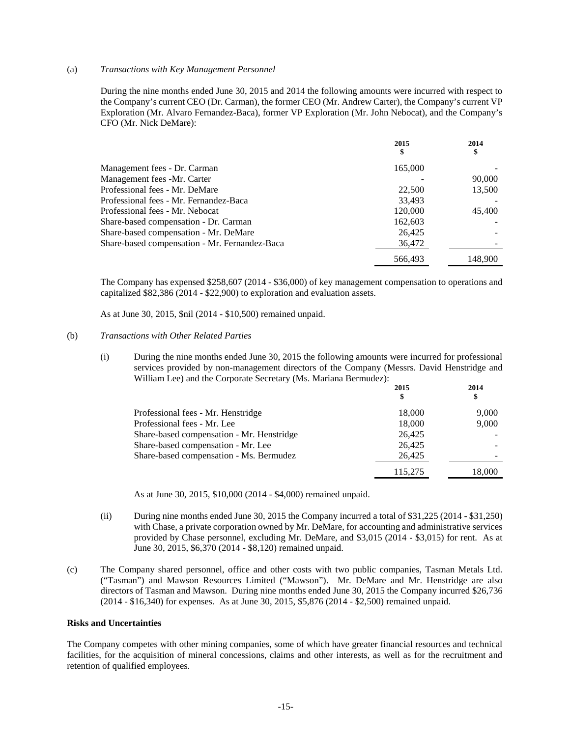#### (a) *Transactions with Key Management Personnel*

During the nine months ended June 30, 2015 and 2014 the following amounts were incurred with respect to the Company's current CEO (Dr. Carman), the former CEO (Mr. Andrew Carter), the Company's current VP Exploration (Mr. Alvaro Fernandez-Baca), former VP Exploration (Mr. John Nebocat), and the Company's CFO (Mr. Nick DeMare):

|                                               | 2015    | 2014    |
|-----------------------------------------------|---------|---------|
|                                               | \$      | \$      |
| Management fees - Dr. Carman                  | 165,000 |         |
| Management fees -Mr. Carter                   |         | 90,000  |
| Professional fees - Mr. DeMare                | 22,500  | 13,500  |
| Professional fees - Mr. Fernandez-Baca        | 33,493  |         |
| Professional fees - Mr. Nebocat               | 120,000 | 45,400  |
| Share-based compensation - Dr. Carman         | 162,603 |         |
| Share-based compensation - Mr. DeMare         | 26,425  |         |
| Share-based compensation - Mr. Fernandez-Baca | 36,472  |         |
|                                               | 566.493 | 148,900 |

The Company has expensed \$258,607 (2014 - \$36,000) of key management compensation to operations and capitalized \$82,386 (2014 - \$22,900) to exploration and evaluation assets.

As at June 30, 2015, \$nil (2014 - \$10,500) remained unpaid.

### (b) *Transactions with Other Related Parties*

(i) During the nine months ended June 30, 2015 the following amounts were incurred for professional services provided by non-management directors of the Company (Messrs. David Henstridge and William Lee) and the Corporate Secretary (Ms. Mariana Bermudez): **2015**

|                                           | 2015<br>\$ | 2014<br>\$ |
|-------------------------------------------|------------|------------|
| Professional fees - Mr. Henstridge        | 18,000     | 9,000      |
| Professional fees - Mr. Lee               | 18,000     | 9,000      |
| Share-based compensation - Mr. Henstridge | 26.425     |            |
| Share-based compensation - Mr. Lee        | 26,425     |            |
| Share-based compensation - Ms. Bermudez   | 26,425     |            |
|                                           | 115.275    | 18,000     |

As at June 30, 2015, \$10,000 (2014 - \$4,000) remained unpaid.

- (ii) During nine months ended June 30, 2015 the Company incurred a total of \$31,225 (2014 \$31,250) with Chase, a private corporation owned by Mr. DeMare, for accounting and administrative services provided by Chase personnel, excluding Mr. DeMare, and \$3,015 (2014 - \$3,015) for rent. As at June 30, 2015, \$6,370 (2014 - \$8,120) remained unpaid.
- (c) The Company shared personnel, office and other costs with two public companies, Tasman Metals Ltd. ("Tasman") and Mawson Resources Limited ("Mawson"). Mr. DeMare and Mr. Henstridge are also directors of Tasman and Mawson. During nine months ended June 30, 2015 the Company incurred \$26,736 (2014 - \$16,340) for expenses. As at June 30, 2015, \$5,876 (2014 - \$2,500) remained unpaid.

#### **Risks and Uncertainties**

The Company competes with other mining companies, some of which have greater financial resources and technical facilities, for the acquisition of mineral concessions, claims and other interests, as well as for the recruitment and retention of qualified employees.